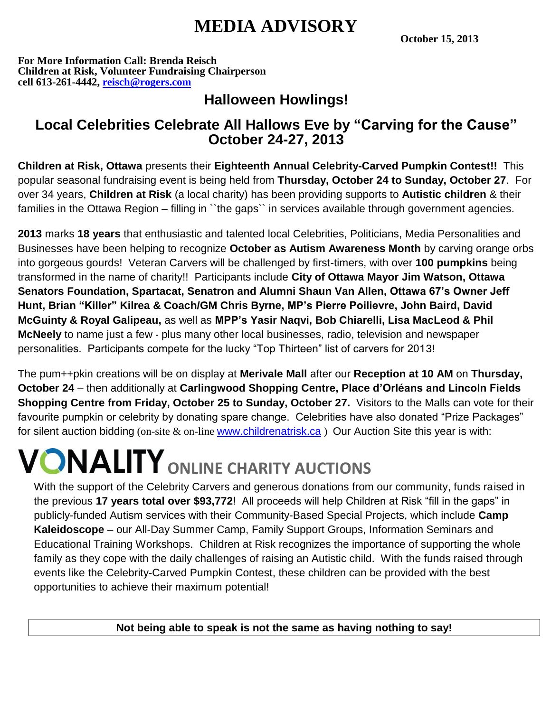## **MEDIA ADVISORY**

**October 15, 2013**

**For More Information Call: Brenda Reisch Children at Risk, Volunteer Fundraising Chairperson cell 613-261-4442, [reisch@rogers.com](mailto:reisch@rogers.com)**

## **Halloween Howlings!**

### **Local Celebrities Celebrate All Hallows Eve by "Carving for the Cause" October 24-27, 2013**

**Children at Risk, Ottawa** presents their **Eighteenth Annual Celebrity-Carved Pumpkin Contest!!** This popular seasonal fundraising event is being held from **Thursday, October 24 to Sunday, October 27**. For over 34 years, **Children at Risk** (a local charity) has been providing supports to **Autistic children** & their families in the Ottawa Region – filling in "the gaps" in services available through government agencies.

**2013** marks **18 years** that enthusiastic and talented local Celebrities, Politicians, Media Personalities and Businesses have been helping to recognize **October as Autism Awareness Month** by carving orange orbs into gorgeous gourds! Veteran Carvers will be challenged by first-timers, with over **100 pumpkins** being transformed in the name of charity!! Participants include **City of Ottawa Mayor Jim Watson, Ottawa Senators Foundation, Spartacat, Senatron and Alumni Shaun Van Allen, Ottawa 67's Owner Jeff Hunt, Brian "Killer" Kilrea & Coach/GM Chris Byrne, MP's Pierre Poilievre, John Baird, David McGuinty & Royal Galipeau,** as well as **MPP's Yasir Naqvi, Bob Chiarelli, Lisa MacLeod & Phil McNeely** to name just a few - plus many other local businesses, radio, television and newspaper personalities. Participants compete for the lucky "Top Thirteen" list of carvers for 2013!

The pum++pkin creations will be on display at **Merivale Mall** after our **Reception at 10 AM** on **Thursday, October 24** – then additionally at **Carlingwood Shopping Centre, Place d'Orléans and Lincoln Fields Shopping Centre from Friday, October 25 to Sunday, October 27.** Visitors to the Malls can vote for their favourite pumpkin or celebrity by donating spare change. Celebrities have also donated "Prize Packages" for silent auction bidding (on-site & on-line [www.childrenatrisk.ca](http://www.childrenatrisk.ca/)) Our Auction Site this year is with:

# **ONALITY** ONLINE CHARITY AUCTIONS

With the support of the Celebrity Carvers and generous donations from our community, funds raised in the previous **17 years total over \$93,772**! All proceeds will help Children at Risk "fill in the gaps" in publicly-funded Autism services with their Community-Based Special Projects, which include **Camp Kaleidoscope** – our All-Day Summer Camp, Family Support Groups, Information Seminars and Educational Training Workshops. Children at Risk recognizes the importance of supporting the whole family as they cope with the daily challenges of raising an Autistic child. With the funds raised through events like the Celebrity-Carved Pumpkin Contest, these children can be provided with the best opportunities to achieve their maximum potential!

**Not being able to speak is not the same as having nothing to say!**